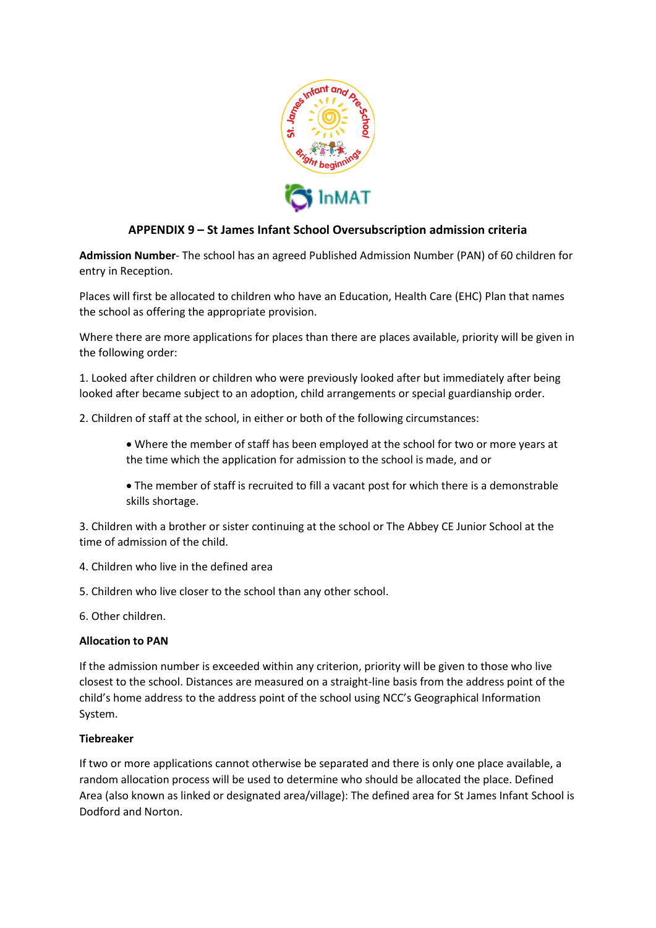

## **APPENDIX 9 – St James Infant School Oversubscription admission criteria**

**Admission Number**- The school has an agreed Published Admission Number (PAN) of 60 children for entry in Reception.

Places will first be allocated to children who have an Education, Health Care (EHC) Plan that names the school as offering the appropriate provision.

Where there are more applications for places than there are places available, priority will be given in the following order:

1. Looked after children or children who were previously looked after but immediately after being looked after became subject to an adoption, child arrangements or special guardianship order.

2. Children of staff at the school, in either or both of the following circumstances:

- Where the member of staff has been employed at the school for two or more years at the time which the application for admission to the school is made, and or
- The member of staff is recruited to fill a vacant post for which there is a demonstrable skills shortage.

3. Children with a brother or sister continuing at the school or The Abbey CE Junior School at the time of admission of the child.

- 4. Children who live in the defined area
- 5. Children who live closer to the school than any other school.
- 6. Other children.

## **Allocation to PAN**

If the admission number is exceeded within any criterion, priority will be given to those who live closest to the school. Distances are measured on a straight-line basis from the address point of the child's home address to the address point of the school using NCC's Geographical Information System.

## **Tiebreaker**

If two or more applications cannot otherwise be separated and there is only one place available, a random allocation process will be used to determine who should be allocated the place. Defined Area (also known as linked or designated area/village): The defined area for St James Infant School is Dodford and Norton.